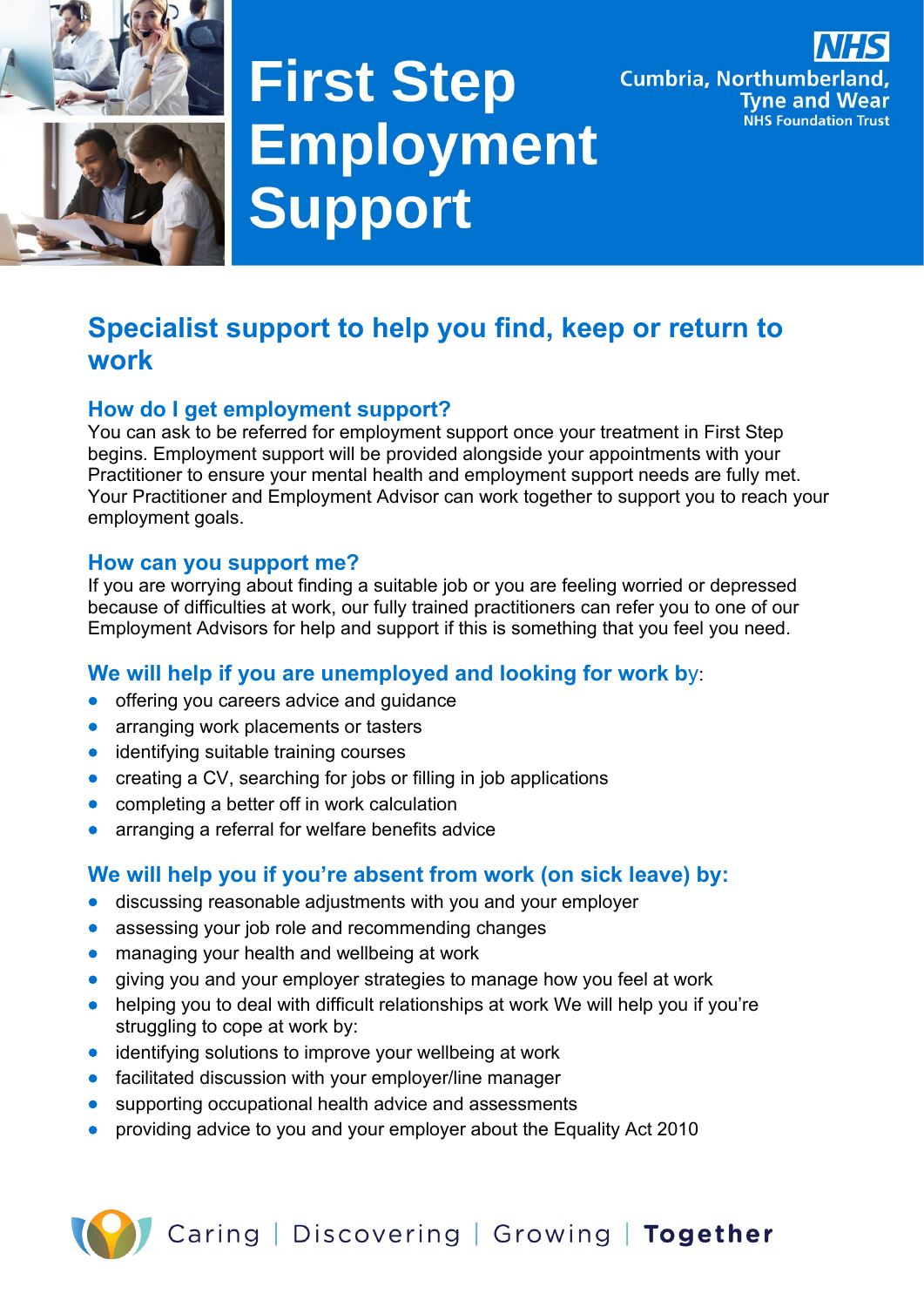

# **First Step** Employment Support



# **Specialist support to help you find, keep or return to work**

# **How do I get employment support?**

You can ask to be referred for employment support once your treatment in First Step begins. Employment support will be provided alongside your appointments with your Practitioner to ensure your mental health and employment support needs are fully met. Your Practitioner and Employment Advisor can work together to support you to reach your employment goals.

#### **How can you support me?**

If you are worrying about finding a suitable job or you are feeling worried or depressed because of difficulties at work, our fully trained practitioners can refer you to one of our Employment Advisors for help and support if this is something that you feel you need.

# **We will help if you are unemployed and looking for work b**y:

- offering you careers advice and guidance
- arranging work placements or tasters
- identifying suitable training courses
- creating a CV, searching for jobs or filling in job applications
- completing a better off in work calculation
- arranging a referral for welfare benefits advice

### **We will help you if you're absent from work (on sick leave) by:**

- discussing reasonable adjustments with you and your employer
- assessing your job role and recommending changes
- managing your health and wellbeing at work
- giving you and your employer strategies to manage how you feel at work
- helping you to deal with difficult relationships at work We will help you if you're struggling to cope at work by:
- identifying solutions to improve your wellbeing at work
- facilitated discussion with your employer/line manager
- supporting occupational health advice and assessments
- providing advice to you and your employer about the Equality Act 2010

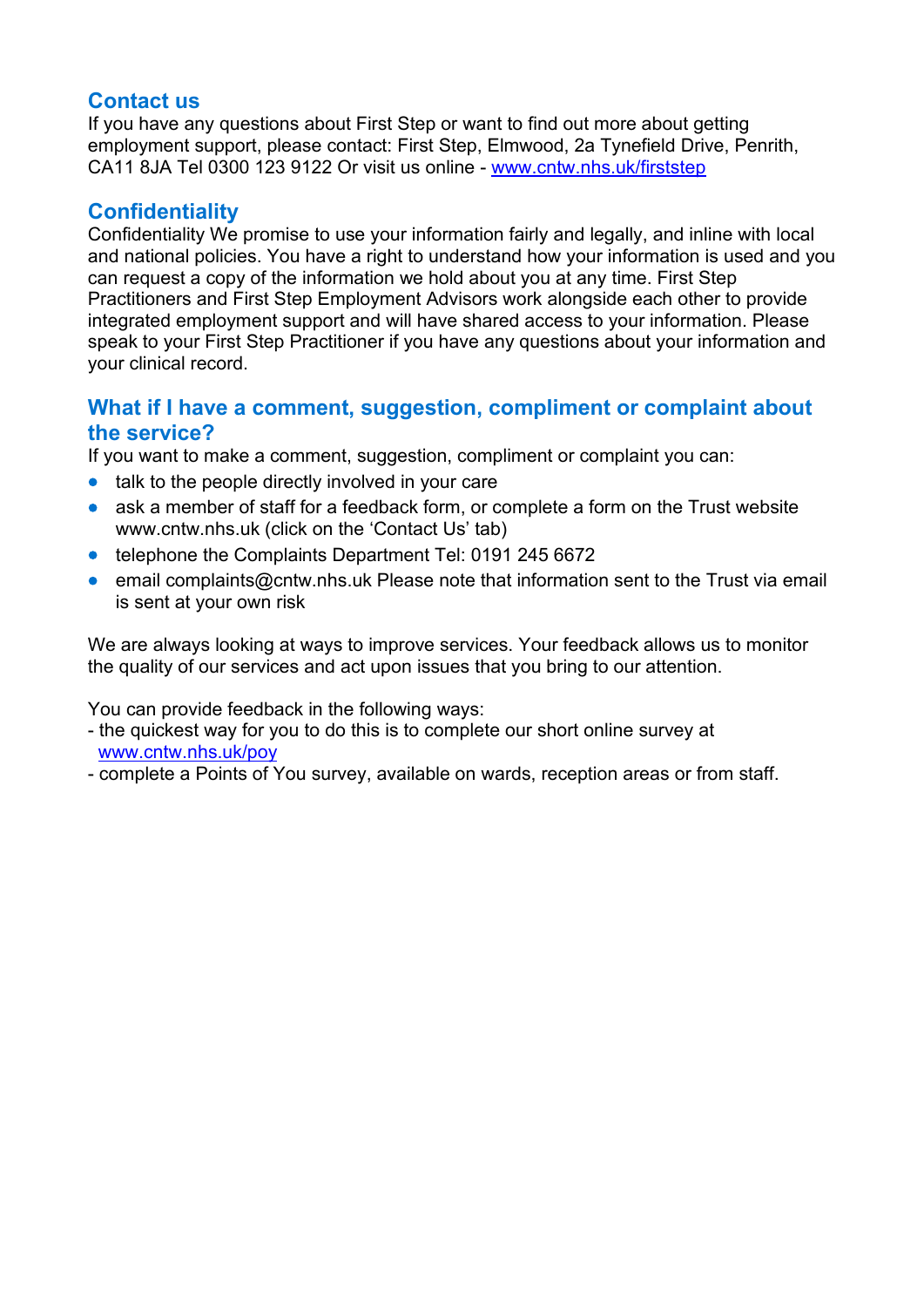### **Contact us**

If you have any questions about First Step or want to find out more about getting employment support, please contact: First Step, Elmwood, 2a Tynefield Drive, Penrith, CA11 8JA Tel 0300 123 9122 Or visit us online - [www.cntw.nhs.uk/firststep](http://www.cntw.nhs.uk/firststep)

## **Confidentiality**

Confidentiality We promise to use your information fairly and legally, and inline with local and national policies. You have a right to understand how your information is used and you can request a copy of the information we hold about you at any time. First Step Practitioners and First Step Employment Advisors work alongside each other to provide integrated employment support and will have shared access to your information. Please speak to your First Step Practitioner if you have any questions about your information and your clinical record.

#### **What if I have a comment, suggestion, compliment or complaint about the service?**

If you want to make a comment, suggestion, compliment or complaint you can:

- talk to the people directly involved in your care
- ask a member of staff for a feedback form, or complete a form on the Trust website www.cntw.nhs.uk (click on the 'Contact Us' tab)
- telephone the Complaints Department Tel: 0191 245 6672
- email complaints@cntw.nhs.uk Please note that information sent to the Trust via email is sent at your own risk

We are always looking at ways to improve services. Your feedback allows us to monitor the quality of our services and act upon issues that you bring to our attention.

You can provide feedback in the following ways:

- the quickest way for you to do this is to complete our short online survey at [www.cntw.nhs.uk/poy](http://www.cntw.nhs.uk/poy)
- complete a Points of You survey, available on wards, reception areas or from staff.